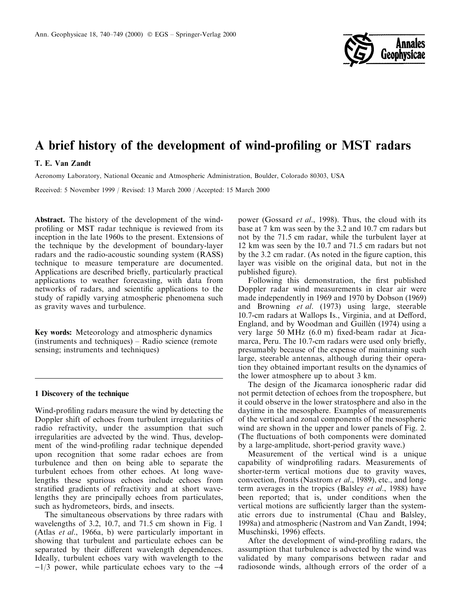

# A brief history of the development of wind-profiling or MST radars

# T. E. Van Zandt

Aeronomy Laboratory, National Oceanic and Atmospheric Administration, Boulder, Colorado 80303, USA

Received: 5 November 1999 / Revised: 13 March 2000 / Accepted: 15 March 2000

Abstract. The history of the development of the windprofiling or MST radar technique is reviewed from its inception in the late 1960s to the present. Extensions of the technique by the development of boundary-layer radars and the radio-acoustic sounding system (RASS) technique to measure temperature are documented. Applications are described briefly, particularly practical applications to weather forecasting, with data from networks of radars, and scientific applications to the study of rapidly varying atmospheric phenomena such as gravity waves and turbulence.

Key words: Meteorology and atmospheric dynamics  $(instruments and techniques) - Radio science (remote)$ sensing; instruments and techniques)

#### 1 Discovery of the technique

Wind-profiling radars measure the wind by detecting the Doppler shift of echoes from turbulent irregularities of radio refractivity, under the assumption that such irregularities are advected by the wind. Thus, development of the wind-profiling radar technique depended upon recognition that some radar echoes are from turbulence and then on being able to separate the turbulent echoes from other echoes. At long wavelengths these spurious echoes include echoes from stratified gradients of refractivity and at short wavelengths they are principally echoes from particulates, such as hydrometeors, birds, and insects.

The simultaneous observations by three radars with wavelengths of 3.2, 10.7, and 71.5 cm shown in Fig. 1 (Atlas et al., 1966a, b) were particularly important in showing that turbulent and particulate echoes can be separated by their different wavelength dependences. Ideally, turbulent echoes vary with wavelength to the  $-1/3$  power, while particulate echoes vary to the  $-4$ 

power (Gossard et al., 1998). Thus, the cloud with its base at 7 km was seen by the 3.2 and 10.7 cm radars but not by the 71.5 cm radar, while the turbulent layer at 12 km was seen by the 10.7 and 71.5 cm radars but not by the 3.2 cm radar. (As noted in the figure caption, this layer was visible on the original data, but not in the published figure).

Following this demonstration, the first published Doppler radar wind measurements in clear air were made independently in 1969 and 1970 by Dobson (1969) and Browning et al. (1973) using large, steerable 10.7-cm radars at Wallops Is., Virginia, and at Defford, England, and by Woodman and Guillén (1974) using a very large 50 MHz  $(6.0 \text{ m})$  fixed-beam radar at Jicamarca, Peru. The 10.7-cm radars were used only briefly, presumably because of the expense of maintaining such large, steerable antennas, although during their operation they obtained important results on the dynamics of the lower atmosphere up to about 3 km.

The design of the Jicamarca ionospheric radar did not permit detection of echoes from the troposphere, but it could observe in the lower stratosphere and also in the daytime in the mesosphere. Examples of measurements of the vertical and zonal components of the mesospheric wind are shown in the upper and lower panels of Fig. 2. (The fluctuations of both components were dominated by a large-amplitude, short-period gravity wave.)

Measurement of the vertical wind is a unique capability of windprofiling radars. Measurements of shorter-term vertical motions due to gravity waves, convection, fronts (Nastrom et al., 1989), etc., and longterm averages in the tropics (Balsley et al., 1988) have been reported; that is, under conditions when the vertical motions are sufficiently larger than the systematic errors due to instrumental (Chau and Balsley, 1998a) and atmospheric (Nastrom and Van Zandt, 1994; Muschinski, 1996) effects.

After the development of wind-profiling radars, the assumption that turbulence is advected by the wind was validated by many comparisons between radar and radiosonde winds, although errors of the order of a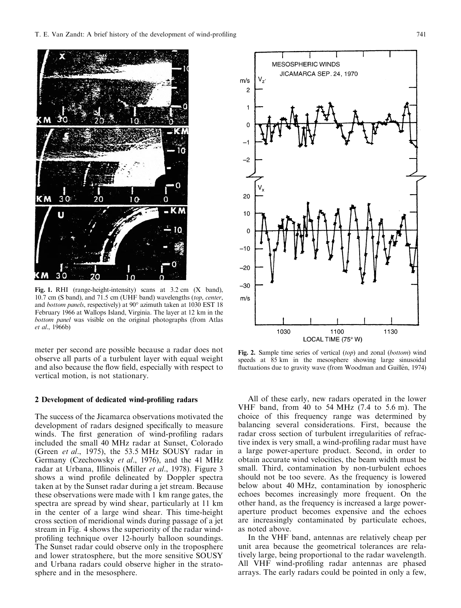

Fig. 1. RHI (range-height-intensity) scans at 3.2 cm (X band), 10.7 cm (S band), and 71.5 cm (UHF band) wavelengths (top, center, and bottom panels, respectively) at 90° azimuth taken at 1030 EST 18 February 1966 at Wallops Island, Virginia. The layer at 12 km in the bottom panel was visible on the original photographs (from Atlas et al., 1966b)

meter per second are possible because a radar does not observe all parts of a turbulent layer with equal weight and also because the flow field, especially with respect to vertical motion, is not stationary.

# 2 Development of dedicated wind-profiling radars

The success of the Jicamarca observations motivated the development of radars designed specifically to measure winds. The first generation of wind-profiling radars included the small 40 MHz radar at Sunset, Colorado (Green et al., 1975), the 53.5 MHz SOUSY radar in Germany (Czechowsky et al., 1976), and the 41 MHz radar at Urbana, Illinois (Miller et al., 1978). Figure 3 shows a wind profile delineated by Doppler spectra taken at by the Sunset radar during a jet stream. Because these observations were made with 1 km range gates, the spectra are spread by wind shear, particularly at 11 km in the center of a large wind shear. This time-height cross section of meridional winds during passage of a jet stream in Fig. 4 shows the superiority of the radar windprofiling technique over 12-hourly balloon soundings. The Sunset radar could observe only in the troposphere and lower stratosphere, but the more sensitive SOUSY and Urbana radars could observe higher in the stratosphere and in the mesosphere.



Fig. 2. Sample time series of vertical (top) and zonal (bottom) wind speeds at 85 km in the mesosphere showing large sinusoidal fluctuations due to gravity wave (from Woodman and Guillén, 1974)

All of these early, new radars operated in the lower VHF band, from 40 to 54 MHz (7.4 to 5.6 m). The choice of this frequency range was determined by balancing several considerations. First, because the radar cross section of turbulent irregularities of refractive index is very small, a wind-profiling radar must have a large power-aperture product. Second, in order to obtain accurate wind velocities, the beam width must be small. Third, contamination by non-turbulent echoes should not be too severe. As the frequency is lowered below about 40 MHz, contamination by ionospheric echoes becomes increasingly more frequent. On the other hand, as the frequency is increased a large poweraperture product becomes expensive and the echoes are increasingly contaminated by particulate echoes, as noted above.

In the VHF band, antennas are relatively cheap per unit area because the geometrical tolerances are relatively large, being proportional to the radar wavelength. All VHF wind-profiling radar antennas are phased arrays. The early radars could be pointed in only a few,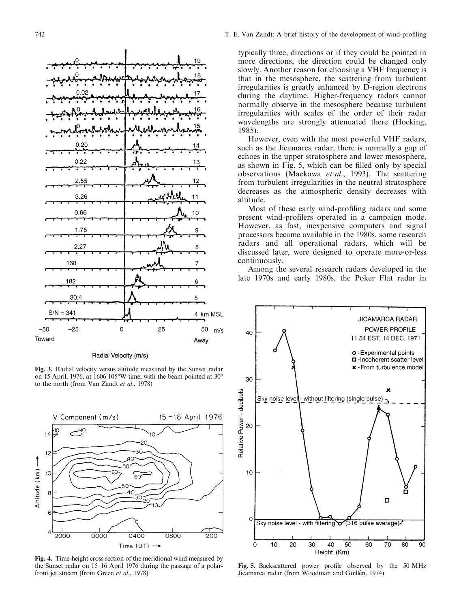



Fig. 3. Radial velocity versus altitude measured by the Sunset radar on 15 April, 1976, at 1606 105°W time, with the beam pointed at 30° to the north (from Van Zandt et al., 1978)



Fig. 4. Time-height cross section of the meridional wind measured by the Sunset radar on 15-16 April 1976 during the passage of a polarfront jet stream (from Green et al., 1978)

typically three, directions or if they could be pointed in more directions, the direction could be changed only slowly. Another reason for choosing a VHF frequency is that in the mesosphere, the scattering from turbulent irregularities is greatly enhanced by D-region electrons during the daytime. Higher-frequency radars cannot normally observe in the mesosphere because turbulent irregularities with scales of the order of their radar wavelengths are strongly attenuated there (Hocking, 1985).

However, even with the most powerful VHF radars, such as the Jicamarca radar, there is normally a gap of echoes in the upper stratosphere and lower mesosphere, as shown in Fig. 5, which can be filled only by special observations (Maekawa et al., 1993). The scattering from turbulent irregularities in the neutral stratosphere decreases as the atmospheric density decreases with altitude.

Most of these early wind-profiling radars and some present wind-profilers operated in a campaign mode. However, as fast, inexpensive computers and signal processors became available in the 1980s, some research radars and all operational radars, which will be discussed later, were designed to operate more-or-less continuously.

Among the several research radars developed in the late 1970s and early 1980s, the Poker Flat radar in



Fig. 5. Backscattered power profile observed by the 50 MHz Jicamarca radar (from Woodman and Guillén, 1974)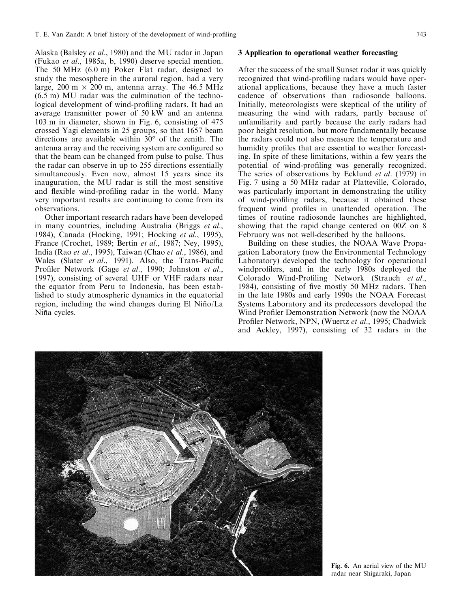Alaska (Balsley et al., 1980) and the MU radar in Japan (Fukao et al., 1985a, b, 1990) deserve special mention. The 50 MHz (6.0 m) Poker Flat radar, designed to study the mesosphere in the auroral region, had a very large, 200 m  $\times$  200 m, antenna array. The 46.5 MHz (6.5 m) MU radar was the culmination of the technological development of wind-profiling radars. It had an average transmitter power of 50 kW and an antenna 103 m in diameter, shown in Fig. 6, consisting of 475 crossed Yagi elements in 25 groups, so that 1657 beam directions are available within 30° of the zenith. The antenna array and the receiving system are configured so that the beam can be changed from pulse to pulse. Thus the radar can observe in up to 255 directions essentially simultaneously. Even now, almost 15 years since its inauguration, the MU radar is still the most sensitive and flexible wind-profiling radar in the world. Many very important results are continuing to come from its observations.

Other important research radars have been developed in many countries, including Australia (Briggs et al., 1984), Canada (Hocking, 1991; Hocking et al., 1995), France (Crochet, 1989; Bertin et al., 1987; Ney, 1995), India (Rao et al., 1995), Taiwan (Chao et al., 1986), and Wales (Slater *et al.*, 1991). Also, the Trans-Pacific Profiler Network (Gage et al., 1990; Johnston et al., 1997), consisting of several UHF or VHF radars near the equator from Peru to Indonesia, has been established to study atmospheric dynamics in the equatorial region, including the wind changes during El Niño/La Niña cycles.

## 3 Application to operational weather forecasting

After the success of the small Sunset radar it was quickly recognized that wind-profiling radars would have operational applications, because they have a much faster cadence of observations than radiosonde balloons. Initially, meteorologists were skeptical of the utility of measuring the wind with radars, partly because of unfamiliarity and partly because the early radars had poor height resolution, but more fundamentally because the radars could not also measure the temperature and humidity profiles that are essential to weather forecasting. In spite of these limitations, within a few years the potential of wind-profiling was generally recognized. The series of observations by Ecklund *et al.* (1979) in Fig. 7 using a 50 MHz radar at Platteville, Colorado, was particularly important in demonstrating the utility of wind-profiling radars, because it obtained these frequent wind profiles in unattended operation. The times of routine radiosonde launches are highlighted, showing that the rapid change centered on 00Z on 8 February was not well-described by the balloons.

Building on these studies, the NOAA Wave Propagation Laboratory (now the Environmental Technology Laboratory) developed the technology for operational windprofilers, and in the early 1980s deployed the Colorado Wind-Profiling Network (Strauch et al., 1984), consisting of five mostly 50 MHz radars. Then in the late 1980s and early 1990s the NOAA Forecast Systems Laboratory and its predecessors developed the Wind Profiler Demonstration Network (now the NOAA Profiler Network, NPN, (Wuertz et al., 1995; Chadwick and Ackley, 1997), consisting of 32 radars in the



Fig. 6. An aerial view of the MU radar near Shigaraki, Japan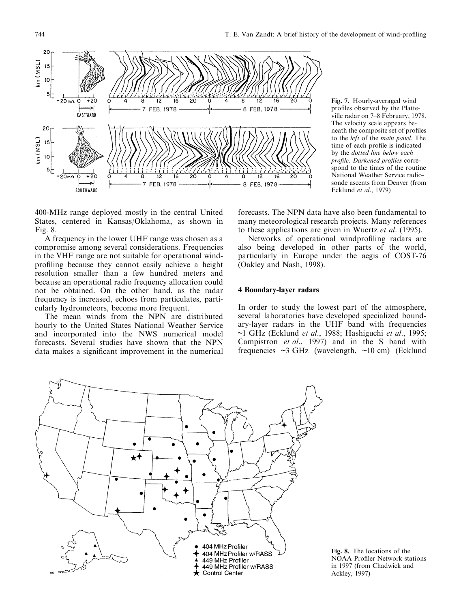



400-MHz range deployed mostly in the central United States, centered in Kansas/Oklahoma, as shown in Fig. 8.

A frequency in the lower UHF range was chosen as a compromise among several considerations. Frequencies in the VHF range are not suitable for operational windprofiling because they cannot easily achieve a height resolution smaller than a few hundred meters and because an operational radio frequency allocation could not be obtained. On the other hand, as the radar frequency is increased, echoes from particulates, particularly hydrometeors, become more frequent.

The mean winds from the NPN are distributed hourly to the United States National Weather Service and incorporated into the NWS numerical model forecasts. Several studies have shown that the NPN data makes a significant improvement in the numerical

forecasts. The NPN data have also been fundamental to many meteorological research projects. Many references to these applications are given in Wuertz et al. (1995).

Networks of operational windprofiling radars are also being developed in other parts of the world, particularly in Europe under the aegis of COST-76 (Oakley and Nash, 1998).

## 4 Boundary-layer radars

In order to study the lowest part of the atmosphere, several laboratories have developed specialized boundary-layer radars in the UHF band with frequencies ~1 GHz (Ecklund et al., 1988; Hashiguchi et al., 1995; Campistron et al., 1997) and in the S band with frequencies  $\sim$ 3 GHz (wavelength,  $\sim$ 10 cm) (Ecklund



Fig. 8. The locations of the NOAA Profiler Network stations in 1997 (from Chadwick and Ackley, 1997)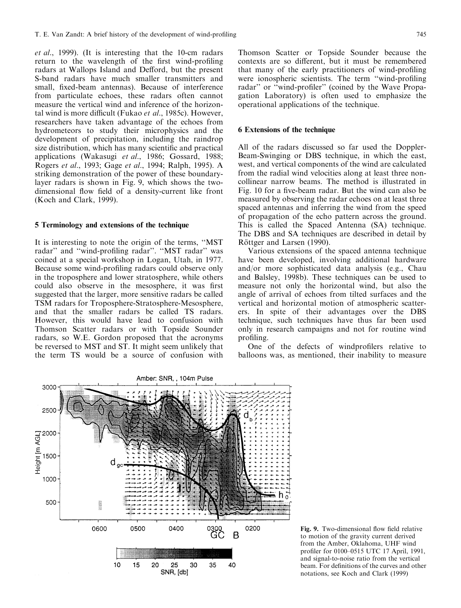et al., 1999). (It is interesting that the 10-cm radars return to the wavelength of the first wind-profiling radars at Wallops Island and Defford, but the present S-band radars have much smaller transmitters and small, fixed-beam antennas). Because of interference from particulate echoes, these radars often cannot measure the vertical wind and inference of the horizontal wind is more difficult (Fukao et al., 1985c). However, researchers have taken advantage of the echoes from hydrometeors to study their microphysics and the development of precipitation, including the raindrop size distribution, which has many scientific and practical applications (Wakasugi et al., 1986; Gossard, 1988; Rogers et al., 1993; Gage et al., 1994; Ralph, 1995). A striking demonstration of the power of these boundarylayer radars is shown in Fig. 9, which shows the twodimensional flow field of a density-current like front (Koch and Clark, 1999).

## 5 Terminology and extensions of the technique

It is interesting to note the origin of the terms, "MST radar" and "wind-profiling radar". "MST radar" was coined at a special workshop in Logan, Utah, in 1977. Because some wind-profiling radars could observe only in the troposphere and lower stratosphere, while others could also observe in the mesosphere, it was first suggested that the larger, more sensitive radars be called TSM radars for Troposphere-Stratosphere-Mesosphere, and that the smaller radars be called TS radars. However, this would have lead to confusion with Thomson Scatter radars or with Topside Sounder radars, so W.E. Gordon proposed that the acronyms be reversed to MST and ST. It might seem unlikely that the term TS would be a source of confusion with

Thomson Scatter or Topside Sounder because the contexts are so different, but it must be remembered that many of the early practitioners of wind-profiling were ionospheric scientists. The term "wind-profiling" radar" or "wind-profiler" (coined by the Wave Propagation Laboratory) is often used to emphasize the operational applications of the technique.

## 6 Extensions of the technique

All of the radars discussed so far used the Doppler-Beam-Swinging or DBS technique, in which the east, west, and vertical components of the wind are calculated from the radial wind velocities along at least three noncollinear narrow beams. The method is illustrated in Fig. 10 for a five-beam radar. But the wind can also be measured by observing the radar echoes on at least three spaced antennas and inferring the wind from the speed of propagation of the echo pattern across the ground. This is called the Spaced Antenna (SA) technique. The DBS and SA techniques are described in detail by Röttger and Larsen (1990).

Various extensions of the spaced antenna technique have been developed, involving additional hardware and/or more sophisticated data analysis (e.g., Chau and Balsley, 1998b). These techniques can be used to measure not only the horizontal wind, but also the angle of arrival of echoes from tilted surfaces and the vertical and horizontal motion of atmospheric scatterers. In spite of their advantages over the DBS technique, such techniques have thus far been used only in research campaigns and not for routine wind profiling.

One of the defects of windprofilers relative to balloons was, as mentioned, their inability to measure



Fig. 9. Two-dimensional flow field relative to motion of the gravity current derived from the Amber, Oklahoma, UHF wind profiler for 0100-0515 UTC 17 April, 1991, and signal-to-noise ratio from the vertical beam. For definitions of the curves and other notations, see Koch and Clark (1999)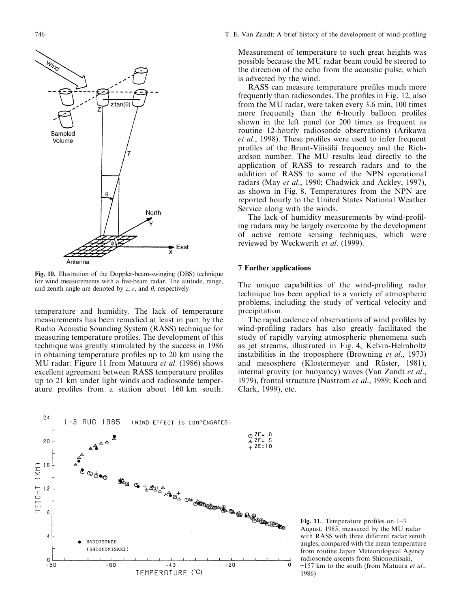

Fig. 10. Illustration of the Doppler-beam-swinging (DBS) technique for wind measurements with a five-beam radar. The altitude, range, and zenith angle are denoted by z, r, and  $\theta$ , respectively

temperature and humidity. The lack of temperature measurements has been remedied at least in part by the Radio Acoustic Sounding System (RASS) technique for measuring temperature profiles. The development of this technique was greatly stimulated by the success in 1986 in obtaining temperature profiles up to 20 km using the MU radar. Figure 11 from Matuura et al. (1986) shows excellent agreement between RASS temperature profiles up to 21 km under light winds and radiosonde temperature profiles from a station about 160 km south.

Measurement of temperature to such great heights was possible because the MU radar beam could be steered to the direction of the echo from the acoustic pulse, which is advected by the wind.

RASS can measure temperature profiles much more frequently than radiosondes. The profiles in Fig. 12, also from the MU radar, were taken every 3.6 min, 100 times more frequently than the 6-hourly balloon profiles shown in the left panel (or 200 times as frequent as routine 12-hourly radiosonde observations) (Arikawa et al., 1998). These profiles were used to infer frequent profiles of the Brunt-Väisälä frequency and the Richardson number. The MU results lead directly to the application of RASS to research radars and to the addition of RASS to some of the NPN operational radars (May et al., 1990; Chadwick and Ackley, 1997), as shown in Fig. 8. Temperatures from the NPN are reported hourly to the United States National Weather Service along with the winds.

The lack of humidity measurements by wind-profiling radars may be largely overcome by the development of active remote sensing techniques, which were reviewed by Weckwerth et al. (1999).

## 7 Further applications

The unique capabilities of the wind-profiling radar technique has been applied to a variety of atmospheric problems, including the study of vertical velocity and precipitation.

The rapid cadence of observations of wind profiles by wind-profiling radars has also greatly facilitated the study of rapidly varying atmospheric phenomena such as jet streams, illustrated in Fig. 4, Kelvin-Helmholtz instabilities in the troposphere (Browning et al., 1973) and mesosphere (Klostermeyer and Rüster, 1981), internal gravity (or buoyancy) waves (Van Zandt et al., 1979), frontal structure (Nastrom et al., 1989; Koch and Clark, 1999), etc.



Fig. 11. Temperature profiles on  $1-3$ August, 1985, measured by the MU radar with RASS with three different radar zenith angles, compared with the mean temperature from routine Japan Meteorological Agency radiosonde ascents from Shionomisaki,  $\sim$ 157 km to the south (from Matuura et al., 1986)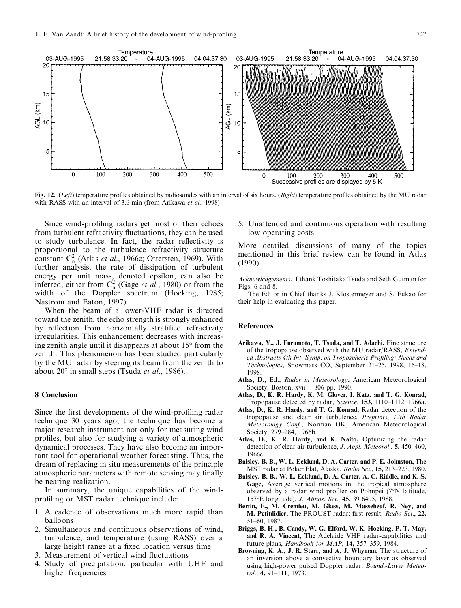

Fig. 12. (Left) temperature profiles obtained by radiosondes with an interval of six hours. (Right) temperature profiles obtained by the MU radar with RASS with an interval of 3.6 min (from Arikawa et al., 1998)

Since wind-profiling radars get most of their echoes from turbulent refractivity fluctuations, they can be used to study turbulence. In fact, the radar reflectivity is proportional to the turbulence refractivity structure constant  $C_n^2$  (Atlas *et al.*, 1966c; Ottersten, 1969). With further analysis, the rate of dissipation of turbulent energy per unit mass, denoted epsilon, can also be inferred, either from  $C_n^2$  (Gage *et al.*, 1980) or from the width of the Doppler spectrum (Hocking, 1985; Nastrom and Eaton, 1997).

When the beam of a lower-VHF radar is directed toward the zenith, the echo strength is strongly enhanced by reflection from horizontally stratified refractivity irregularities. This enhancement decreases with increasing zenith angle until it disappears at about 15° from the zenith. This phenomenon has been studied particularly by the MU radar by steering its beam from the zenith to about 20° in small steps (Tsuda et al., 1986).

## 8 Conclusion

Since the first developments of the wind-profiling radar technique 30 years ago, the technique has become a major research instrument not only for measuring wind profiles, but also for studying a variety of atmospheric dynamical processes. They have also become an important tool for operational weather forecasting. Thus, the dream of replacing in situ measurements of the principle atmospheric parameters with remote sensing may finally be nearing realization.

In summary, the unique capabilities of the windprofiling or MST radar technique include:

- 1. A cadence of observations much more rapid than balloons
- 2. Simultaneous and continuous observations of wind, turbulence, and temperature (using RASS) over a large height range at a fixed location versus time
- 3. Measurement of vertical wind fluctuations
- 4. Study of precipitation, particular with UHF and higher frequencies

5. Unattended and continuous operation with resulting low operating costs

More detailed discussions of many of the topics mentioned in this brief review can be found in Atlas (1990).

Acknowledgements. I thank Toshitaka Tsuda and Seth Gutman for Figs. 6 and 8.

The Editor in Chief thanks J. Klostermeyer and S. Fukao for their help in evaluating this paper.

#### **References**

- Arikawa, Y., J. Furumoto, T. Tsuda, and T. Adachi, Fine structure of the tropopause observed with the MU radar/RASS, Extended Abstracts 4th Int. Symp. on Tropospheric Profiling: Needs and Technologies, Snowmass CO, September 21-25, 1998, 16-18, 1998.
- Atlas, D., Ed., Radar in Meteorology, American Meteorological Society, Boston, xvii  $+806$  pp, 1990.
- Atlas, D., K. R. Hardy, K. M. Glover, I. Katz, and T. G. Konrad, Tropopause detected by radar, Science, 153, 1110-1112, 1966a.
- Atlas, D., K. R. Hardy, and T. G. Konrad, Radar detection of the tropopause and clear air turbulence, Preprints, 12th Radar Meteorology Conf., Norman OK, American Meteorological Society, 279-284, 1966b.
- Atlas, D., K. R. Hardy, and K. Naito, Optimizing the radar detection of clear air turbulence, *J. Appl. Meteorol.*, **5**, 450–460, 1966c.
- Balsley, B. B., W. L. Ecklund, D. A. Carter, and P. E. Johnston, The MST radar at Poker Flat, Alaska, Radio Sci., 15, 213-223, 1980.
- Balsley, B. B., W. L. Ecklund, D. A. Carter, A. C. Riddle, and K. S. Gage, Average vertical motions in the tropical atmosphere observed by a radar wind profiler on Pohnpei  $(7°N)$  latitude, 157°E longitude), J. Atmos. Sci., 45, 39 6405, 1988.
- Bertin, F., M. Cremieu, M. Glass, M. Massebeuf, R. Ney, and M. Petitdidier, The PROUST radar: first result, Radio Sci., 22, 51±60, 1987.
- Briggs, B. H., B. Candy, W. G. Elford, W. K. Hocking, P. T. May, and R. A. Vincent, The Adelaide VHF radar-capabilities and future plans, Handbook for MAP, 14, 357-359, 1984.
- Browning, K. A., J. R. Starr, and A. J. Whyman, The structure of an inversion above a convective boundary layer as observed using high-power pulsed Doppler radar, Bound.-Layer Meteo $rol., 4, 91–111, 1973.$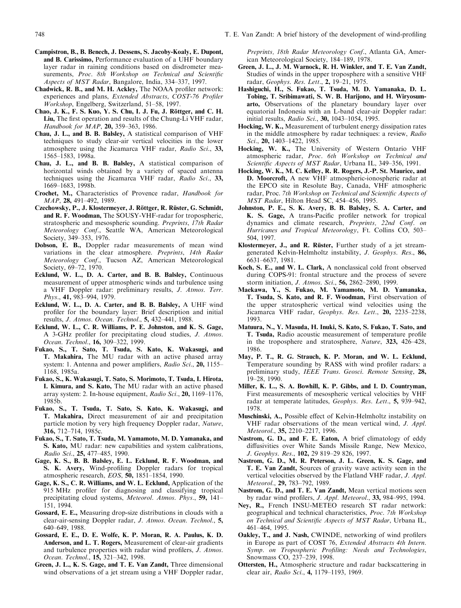- Campistron, B., B. Benech, J. Dessens, S. Jacoby-Koaly, E. Dupont, and B. Carissimo, Performance evaluation of a UHF boundary layer radar in raining conditions based on disdrometer measurements, Proc. 8th Workshop on Technical and Scientific Aspects of MST Radar, Bangalore, India, 334-337, 1997.
- Chadwick, R. B., and M. H. Ackley, The NOAA profiler network: experiences and plans, *Extended Abstracts*, *COST-76 Profiler* Workshop, Engelberg, Switzerland, 51–58, 1997.
- Chao, J. K., F. S. Kuo, Y. S. Chu, I. J. Fu, J. Röttger, and C. H. Liu, The first operation and results of the Chung-Li VHF radar, Handbook for MAP, 20, 359-363, 1986.
- Chau, J. L., and B. B. Balsley, A statistical comparison of VHF techniques to study clear-air vertical velocities in the lower atmosphere using the Jicamarca VHF radar, Radio Sci., 33, 1565±1583, 1998a.
- Chau, J. L., and B. B. Balsley, A statistical comparison of horizontal winds obtained by a variety of spaced antenna techniques using the Jicamarca VHF radar, Radio Sci., 33, 1669-1683, 1998b.
- Crochet, M., Characteristics of Provence radar, Handbook for MAP, 28, 491-492, 1989.
- Czechowsky, P., J. Klostermeyer, J. Röttger, R. Rüster, G. Schmidt, and R. F. Woodman, The SOUSY-VHF-radar for tropospheric, stratospheric and mesospheric sounding. Preprints, 17th Radar Meteorology Conf., Seattle WA, American Meteorological Society, 349-353, 1976.
- Dobson, E. B., Doppler radar measurements of mean wind variations in the clear atmosphere. Preprints, 14th Radar Meteorology Conf., Tucson AZ, American Meteorological Society, 69-72, 1970.
- Ecklund, W. L., D. A. Carter, and B. B. Balsley, Continuous measurement of upper atmospheric winds and turbulence using a VHF Doppler radar: preliminary results, J. Atmos. Terr. Phys., 41, 983-994, 1979.
- Ecklund, W. L., D. A. Carter, and B. B. Balsley, A UHF wind profiler for the boundary layer: Brief description and initial results, J. Atmos. Ocean. Technol., 5, 432-441, 1988.
- Ecklund, W. L., C. R. Williams, P. E. Johnston, and K. S. Gage, A 3-GHz profiler for precipitating cloud studies, *J. Atmos.* Ocean. Technol., 16, 309-322, 1999.
- Fukao, S., T. Sato, T. Tsuda, S. Kato, K. Wakasugi, and T. Makahira, The MU radar with an active phased array system: 1. Antenna and power amplifiers, Radio Sci., 20, 1155-1168, 1985a.
- Fukao, S., K. Wakasugi, T. Sato, S. Morimoto, T. Tsuda, I. Hirota, I. Kimura, and S. Kato, The MU radar with an active phased array system: 2. In-house equipment, Radio Sci., 20, 1169-1176, 1985b.
- Fukao, S., T. Tsuda, T. Sato, S. Kato, K. Wakasugi, and T. Makahira, Direct measurement of air and precipitation particle motion by very high frequency Doppler radar, Nature, 316, 712-714, 1985c.
- Fukao, S., T. Sato, T. Tsuda, M. Yamamoto, M. D. Yamanaka, and S. Kato, MU radar: new capabilities and system calibrations, Radio Sci., 25, 477-485, 1990.
- Gage, K. S., B. B. Balsley, E. L. Ecklund, R. F. Woodman, and S. K. Avery, Wind-profiling Doppler radars for tropical atmospheric research, EOS, 50, 1851-1854, 1990.
- Gage, K. S., C. R. Williams, and W. L. Ecklund, Application of the 915 MHz profiler for diagnosing and classifying tropical precipitating cloud systems, Meteorol. Atmos. Phys., 59, 141-151, 1994.
- Gossard, E. E., Measuring drop-size distributions in clouds with a clear-air-sensing Doppler radar, J. Atmos. Ocean. Technol., 5, 640±649, 1988.
- Gossard, E. E., D. E. Wolfe, K. P. Moran, R. A. Paulus, K. D. Anderson, and L. T. Rogers, Measurement of clear-air gradients and turbulence properties with radar wind profilers, J. Atmos. Ocean. Technol., 15, 321-342, 1998.
- Green, J. L., K. S. Gage, and T. E. Van Zandt, Three dimensional wind observations of a jet stream using a VHF Doppler radar,

Preprints, 18th Radar Meteorology Conf., Atlanta GA, American Meteorological Society, 184-189, 1978.

- Green, J. L., J. M. Warnock, R. H. Winkler, and T. E. Van Zandt, Studies of winds in the upper troposphere with a sensitive VHF radar, Geophys. Res. Lett., 2, 19-21, 1975.
- Hashiguchi, H., S. Fukao, T. Tsuda, M. D. Yamanaka, D. L. Tobing, T. Sribimawati, S. W. B. Harijono, and H. Wiryosumarto, Observations of the planetary boundary layer over equatorial Indonesia with an L-band clear-air Doppler radar: initial results, Radio Sci., 30, 1043-1054, 1995.
- Hocking, W. K., Measurement of turbulent energy dissipation rates in the middle atmosphere by radar techniques: a review, Radio Sci., 20, 1403-1422, 1985.
- Hocking, W. K., The University of Western Ontario VHF atmospheric radar, Proc. 6th Workshop on Technical and Scientific Aspects of MST Radar, Urbana IL, 349-356, 1991.
- Hocking, W. K., M. C. Kelley, R. R. Rogers, J.-P. St. Maurice, and D. Moorcroft, A new VHF atmospheric-ionospheric radar at the EPCO site in Resolute Bay, Canada, VHF atmospheric radar, Proc. 7th Workshop on Technical and Scientific Aspects of MST Radar, Hilton Head SC, 454-456, 1995.
- Johnston, P. E., S. K. Avery, B. B. Balsley, S. A. Carter, and K. S. Gage, A trans-Pacific profiler network for tropical dynamics and climate research, Preprints, 22nd Conf. on Hurricanes and Tropical Meteorology, Ft. Collins CO, 503-504, 1997.
- Klostermeyer, J., and R. Rüster, Further study of a jet streamgenerated Kelvin-Helmholtz instability, J. Geophys. Res., 86, 6631±6637, 1981.
- Koch, S. E., and W. L. Clark, A nonclassical cold front observed during COPS-91: frontal structure and the process of severe storm initiation, *J. Atmos. Sci.*, **56,** 2862-2890, 1999.
- Maekawa, Y., S. Fukao, M. Yamamoto, M. D. Yamanaka, T. Tsuda, S. Kato, and R. F. Woodman, First observation of the upper stratospheric vertical wind velocities using the Jicamarca VHF radar, Geophys. Res. Lett., 20, 2235-2238, 1993.
- Matuura, N., Y. Masuda, H. Inuki, S. Kato, S. Fukao, T. Sato, and T. Tsuda, Radio acoustic measurement of temperature profile in the troposphere and stratosphere, Nature, 323, 426-428, 1986.
- May, P. T., R. G. Strauch, K. P. Moran, and W. L. Ecklund, Temperature sounding by RASS with wind profiler radars: a preliminary study, IEEE Trans. Geosci. Remote Sensing, 28, 19±28, 1990.
- Miller, K. L., S. A. Bowhill, K. P. Gibbs, and I. D. Countryman, First measurements of mesospheric vertical velocities by VHF radar at temperate latitudes, Geophys. Res. Lett., 5, 939-942, 1978.
- Muschinski, A., Possible effect of Kelvin-Helmholtz instability on VHF radar observations of the mean vertical wind, J. Appl. Meteorol., 35, 2210–2217, 1996.
- Nastrom, G. D., and F. E. Eaton, A brief climatology of eddy diffusivities over White Sands Missile Range, New Mexico, J. Geophys. Res., 102, 29 819-29 826, 1997.
- Nastrom, G. D., M. R. Peterson, J. L. Green, K. S. Gage, and T. E. Van Zandt, Sources of gravity wave activity seen in the vertical velocities observed by the Flatland VHF radar, J. Appl. Meteorol., 29, 783-792, 1989.
- Nastrom, G. D., and T. E. Van Zandt, Mean vertical motions seen by radar wind profilers, J. Appl. Meteorol., 33, 984-995, 1994.
- Ney, R., French INSU-METEO research ST radar network: geographical and technical characteristics, Proc. 7th Workshop on Technical and Scientific Aspects of MST Radar, Urbana IL, 461±464, 1995.
- Oakley, T., and J. Nash, CWINDE, networking of wind profilers in Europe as part of COST 76, Extended Abstracts 4th Intern. Symp. on Tropospheric Profiling: Needs and Technologies, Snowmass CO, 237-239, 1998.
- Ottersten, H., Atmospheric structure and radar backscattering in clear air, Radio Sci., 4, 1179-1193, 1969.